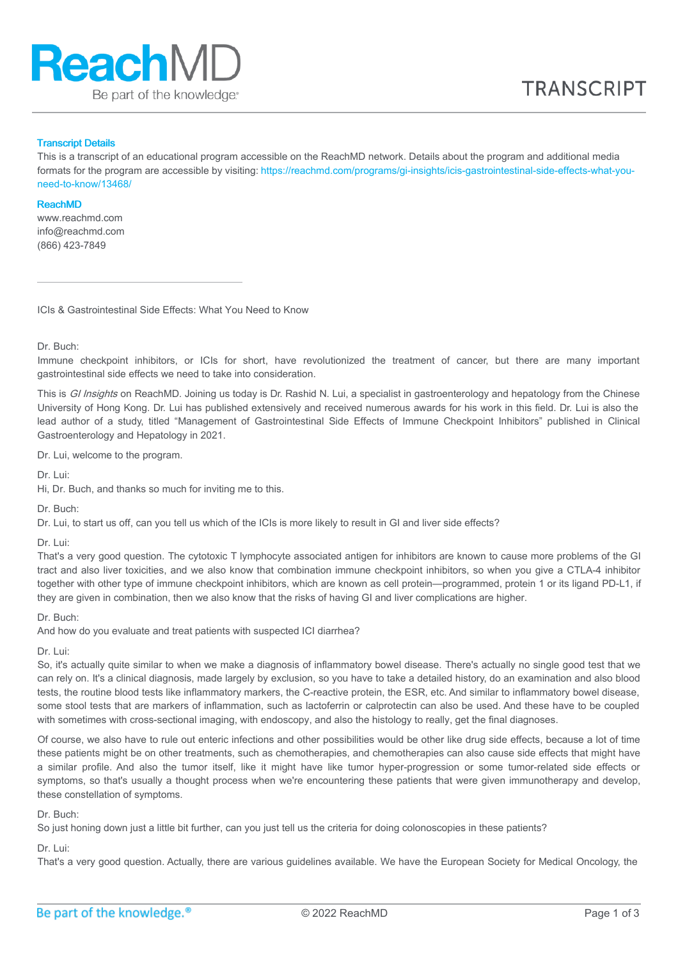

#### Transcript Details

This is a transcript of an educational program accessible on the ReachMD network. Details about the program and additional media formats for the program are accessible by visiting: [https://reachmd.com/programs/gi-insights/icis-gastrointestinal-side-effects-what-you](https://reachmd.com/programs/gi-insights/icis-gastrointestinal-side-effects-what-you-need-to-know/13468/)need-to-know/13468/

#### ReachMD

www.reachmd.com info@reachmd.com (866) 423-7849

ICIs & Gastrointestinal Side Effects: What You Need to Know

Dr. Buch:

Immune checkpoint inhibitors, or ICIs for short, have revolutionized the treatment of cancer, but there are many important gastrointestinal side effects we need to take into consideration.

This is GI Insights on ReachMD. Joining us today is Dr. Rashid N. Lui, a specialist in gastroenterology and hepatology from the Chinese University of Hong Kong. Dr. Lui has published extensively and received numerous awards for his work in this field. Dr. Lui is also the lead author of a study, titled "Management of Gastrointestinal Side Effects of Immune Checkpoint Inhibitors" published in Clinical Gastroenterology and Hepatology in 2021.

Dr. Lui, welcome to the program.

Dr. Lui:

Hi, Dr. Buch, and thanks so much for inviting me to this.

Dr. Buch:

Dr. Lui, to start us off, can you tell us which of the ICIs is more likely to result in GI and liver side effects?

Dr. Lui:

That's a very good question. The cytotoxic T lymphocyte associated antigen for inhibitors are known to cause more problems of the GI tract and also liver toxicities, and we also know that combination immune checkpoint inhibitors, so when you give a CTLA-4 inhibitor together with other type of immune checkpoint inhibitors, which are known as cell protein—programmed, protein 1 or its ligand PD-L1, if they are given in combination, then we also know that the risks of having GI and liver complications are higher.

Dr. Buch:

And how do you evaluate and treat patients with suspected ICI diarrhea?

Dr. Lui:

So, it's actually quite similar to when we make a diagnosis of inflammatory bowel disease. There's actually no single good test that we can rely on. It's a clinical diagnosis, made largely by exclusion, so you have to take a detailed history, do an examination and also blood tests, the routine blood tests like inflammatory markers, the C-reactive protein, the ESR, etc. And similar to inflammatory bowel disease, some stool tests that are markers of inflammation, such as lactoferrin or calprotectin can also be used. And these have to be coupled with sometimes with cross-sectional imaging, with endoscopy, and also the histology to really, get the final diagnoses.

Of course, we also have to rule out enteric infections and other possibilities would be other like drug side effects, because a lot of time these patients might be on other treatments, such as chemotherapies, and chemotherapies can also cause side effects that might have a similar profile. And also the tumor itself, like it might have like tumor hyper-progression or some tumor-related side effects or symptoms, so that's usually a thought process when we're encountering these patients that were given immunotherapy and develop. these constellation of symptoms.

#### Dr. Buch:

So just honing down just a little bit further, can you just tell us the criteria for doing colonoscopies in these patients?

# Dr. Lui:

That's a very good question. Actually, there are various guidelines available. We have the European Society for Medical Oncology, the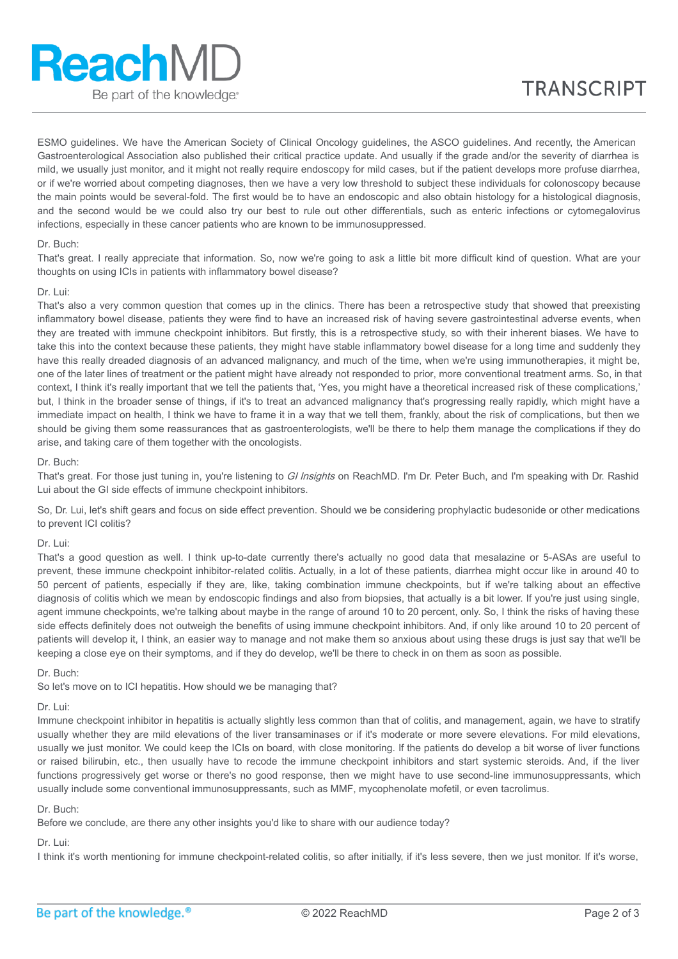ESMO guidelines. We have the American Society of Clinical Oncology guidelines, the ASCO guidelines. And recently, the American Gastroenterological Association also published their critical practice update. And usually if the grade and/or the severity of diarrhea is mild, we usually just monitor, and it might not really require endoscopy for mild cases, but if the patient develops more profuse diarrhea, or if we're worried about competing diagnoses, then we have a very low threshold to subject these individuals for colonoscopy because the main points would be several-fold. The first would be to have an endoscopic and also obtain histology for a histological diagnosis, and the second would be we could also try our best to rule out other differentials, such as enteric infections or cytomegalovirus infections, especially in these cancer patients who are known to be immunosuppressed.

### Dr. Buch:

That's great. I really appreciate that information. So, now we're going to ask a little bit more difficult kind of question. What are your thoughts on using ICIs in patients with inflammatory bowel disease?

# Dr. Lui:

That's also a very common question that comes up in the clinics. There has been a retrospective study that showed that preexisting inflammatory bowel disease, patients they were find to have an increased risk of having severe gastrointestinal adverse events, when they are treated with immune checkpoint inhibitors. But firstly, this is a retrospective study, so with their inherent biases. We have to take this into the context because these patients, they might have stable inflammatory bowel disease for a long time and suddenly they have this really dreaded diagnosis of an advanced malignancy, and much of the time, when we're using immunotherapies, it might be, one of the later lines of treatment or the patient might have already not responded to prior, more conventional treatment arms. So, in that context, I think it's really important that we tell the patients that, 'Yes, you might have a theoretical increased risk of these complications,' but, I think in the broader sense of things, if it's to treat an advanced malignancy that's progressing really rapidly, which might have a immediate impact on health, I think we have to frame it in a way that we tell them, frankly, about the risk of complications, but then we should be giving them some reassurances that as gastroenterologists, we'll be there to help them manage the complications if they do arise, and taking care of them together with the oncologists.

#### Dr. Buch:

That's great. For those just tuning in, you're listening to GI Insights on ReachMD. I'm Dr. Peter Buch, and I'm speaking with Dr. Rashid Lui about the GI side effects of immune checkpoint inhibitors.

So, Dr. Lui, let's shift gears and focus on side effect prevention. Should we be considering prophylactic budesonide or other medications to prevent ICI colitis?

# Dr. Lui:

That's a good question as well. I think up-to-date currently there's actually no good data that mesalazine or 5-ASAs are useful to prevent, these immune checkpoint inhibitor-related colitis. Actually, in a lot of these patients, diarrhea might occur like in around 40 to 50 percent of patients, especially if they are, like, taking combination immune checkpoints, but if we're talking about an effective diagnosis of colitis which we mean by endoscopic findings and also from biopsies, that actually is a bit lower. If you're just using single, agent immune checkpoints, we're talking about maybe in the range of around 10 to 20 percent, only. So, I think the risks of having these side effects definitely does not outweigh the benefits of using immune checkpoint inhibitors. And, if only like around 10 to 20 percent of patients will develop it, I think, an easier way to manage and not make them so anxious about using these drugs is just say that we'll be keeping a close eye on their symptoms, and if they do develop, we'll be there to check in on them as soon as possible.

Dr. Buch:

So let's move on to ICI hepatitis. How should we be managing that?

#### Dr. Lui:

Immune checkpoint inhibitor in hepatitis is actually slightly less common than that of colitis, and management, again, we have to stratify usually whether they are mild elevations of the liver transaminases or if it's moderate or more severe elevations. For mild elevations, usually we just monitor. We could keep the ICIs on board, with close monitoring. If the patients do develop a bit worse of liver functions or raised bilirubin, etc., then usually have to recode the immune checkpoint inhibitors and start systemic steroids. And, if the liver functions progressively get worse or there's no good response, then we might have to use second-line immunosuppressants, which usually include some conventional immunosuppressants, such as MMF, mycophenolate mofetil, or even tacrolimus.

#### Dr. Buch:

Before we conclude, are there any other insights you'd like to share with our audience today?

# Dr. Lui:

I think it's worth mentioning for immune checkpoint-related colitis, so after initially, if it's less severe, then we just monitor. If it's worse,